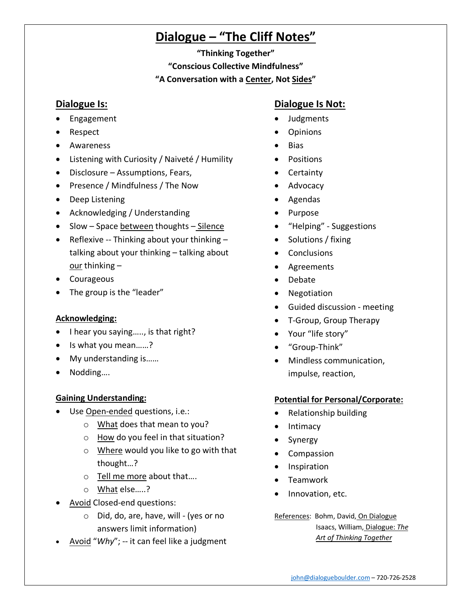# **Dialogue – "The Cliff Notes"**

## **"Thinking Together" "Conscious Collective Mindfulness" "A Conversation with a Center, Not Sides"**

## **Dialogue Is:**

- Engagement
- Respect
- Awareness
- Listening with Curiosity / Naiveté / Humility
- Disclosure Assumptions, Fears,
- Presence / Mindfulness / The Now
- Deep Listening
- Acknowledging / Understanding
- Slow Space between thoughts Silence
- Reflexive -- Thinking about your thinking talking about your thinking – talking about our thinking  $-$
- Courageous
- The group is the "leader"

#### **Acknowledging:**

- I hear you saying….., is that right?
- Is what you mean……?
- My understanding is……
- Nodding....

### **Gaining Understanding:**

- Use Open-ended questions, i.e.:
	- o What does that mean to you?
	- o How do you feel in that situation?
	- o Where would you like to go with that thought…?
	- o Tell me more about that….
	- o What else…..?
- Avoid Closed-end questions:
	- o Did, do, are, have, will (yes or no answers limit information)
- Avoid "*Why*"; -- it can feel like a judgment

### **Dialogue Is Not:**

- Judgments
- Opinions
- Bias
- Positions
- Certainty
- Advocacy
- Agendas
- Purpose
- "Helping" Suggestions
- Solutions / fixing
- Conclusions
- Agreements
- Debate
- Negotiation
- Guided discussion meeting
- T-Group, Group Therapy
- Your "life story"
- "Group-Think"
- Mindless communication, impulse, reaction,

#### **Potential for Personal/Corporate:**

- Relationship building
- Intimacy
- Synergy
- Compassion
- Inspiration
- Teamwork
- Innovation, etc.

References: Bohm, David, On Dialogue Isaacs, William, Dialogue: *The Art of Thinking Together*